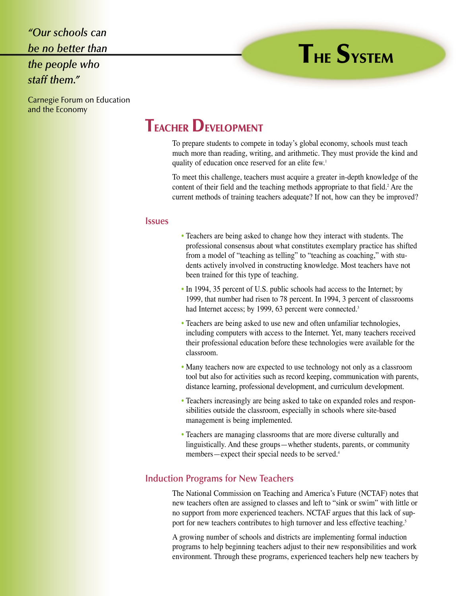*"Our schools can be no better than the people who staff them."*

# **THE SYSTEM**

Carnegie Forum on Education and the Economy

# **TEACHER DEVELOPMENT**

To prepare students to compete in today's global economy, schools must teach much more than reading, writing, and arithmetic. They must provide the kind and quality of education once reserved for an elite few.1

To meet this challenge, teachers must acquire a greater in-depth knowledge of the content of their field and the teaching methods appropriate to that field.<sup>2</sup> Are the current methods of training teachers adequate? If not, how can they be improved?

#### **Issues**

- Teachers are being asked to change how they interact with students. The professional consensus about what constitutes exemplary practice has shifted from a model of "teaching as telling" to "teaching as coaching," with students actively involved in constructing knowledge. Most teachers have not been trained for this type of teaching.
- In 1994, 35 percent of U.S. public schools had access to the Internet; by 1999, that number had risen to 78 percent. In 1994, 3 percent of classrooms had Internet access; by 1999, 63 percent were connected.<sup>3</sup>
- Teachers are being asked to use new and often unfamiliar technologies, including computers with access to the Internet. Yet, many teachers received their professional education before these technologies were available for the classroom.
- Many teachers now are expected to use technology not only as a classroom tool but also for activities such as record keeping, communication with parents, distance learning, professional development, and curriculum development.
- Teachers increasingly are being asked to take on expanded roles and responsibilities outside the classroom, especially in schools where site-based management is being implemented.
- Teachers are managing classrooms that are more diverse culturally and linguistically. And these groups—whether students, parents, or community members—expect their special needs to be served.<sup>4</sup>

## **Induction Programs for New Teachers**

The National Commission on Teaching and America's Future (NCTAF) notes that new teachers often are assigned to classes and left to "sink or swim" with little or no support from more experienced teachers. NCTAF argues that this lack of support for new teachers contributes to high turnover and less effective teaching.<sup>5</sup>

A growing number of schools and districts are implementing formal induction programs to help beginning teachers adjust to their new responsibilities and work environment. Through these programs, experienced teachers help new teachers by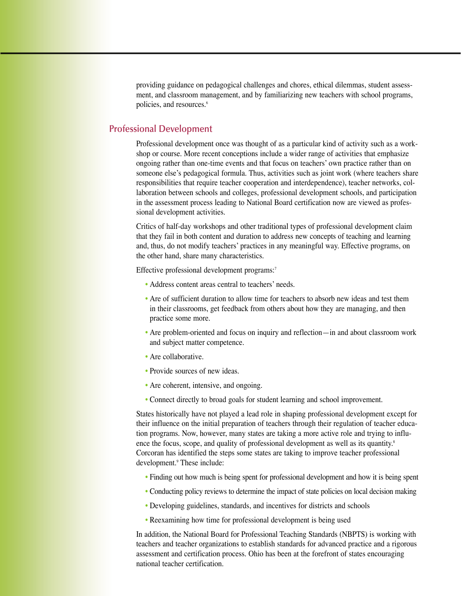providing guidance on pedagogical challenges and chores, ethical dilemmas, student assessment, and classroom management, and by familiarizing new teachers with school programs, policies, and resources.<sup>6</sup>

### **Professional Development**

Professional development once was thought of as a particular kind of activity such as a workshop or course. More recent conceptions include a wider range of activities that emphasize ongoing rather than one-time events and that focus on teachers' own practice rather than on someone else's pedagogical formula. Thus, activities such as joint work (where teachers share responsibilities that require teacher cooperation and interdependence), teacher networks, collaboration between schools and colleges, professional development schools, and participation in the assessment process leading to National Board certification now are viewed as professional development activities.

Critics of half-day workshops and other traditional types of professional development claim that they fail in both content and duration to address new concepts of teaching and learning and, thus, do not modify teachers' practices in any meaningful way. Effective programs, on the other hand, share many characteristics.

Effective professional development programs:<sup>7</sup>

- Address content areas central to teachers' needs.
- Are of sufficient duration to allow time for teachers to absorb new ideas and test them in their classrooms, get feedback from others about how they are managing, and then practice some more.
- Are problem-oriented and focus on inquiry and reflection—in and about classroom work and subject matter competence.
- Are collaborative.
- Provide sources of new ideas.
- Are coherent, intensive, and ongoing.
- Connect directly to broad goals for student learning and school improvement.

States historically have not played a lead role in shaping professional development except for their influence on the initial preparation of teachers through their regulation of teacher education programs. Now, however, many states are taking a more active role and trying to influence the focus, scope, and quality of professional development as well as its quantity.<sup>8</sup> Corcoran has identified the steps some states are taking to improve teacher professional development.<sup>9</sup> These include:

- Finding out how much is being spent for professional development and how it is being spent
- Conducting policy reviews to determine the impact of state policies on local decision making
- Developing guidelines, standards, and incentives for districts and schools
- Reexamining how time for professional development is being used

In addition, the National Board for Professional Teaching Standards (NBPTS) is working with teachers and teacher organizations to establish standards for advanced practice and a rigorous assessment and certification process. Ohio has been at the forefront of states encouraging national teacher certification.